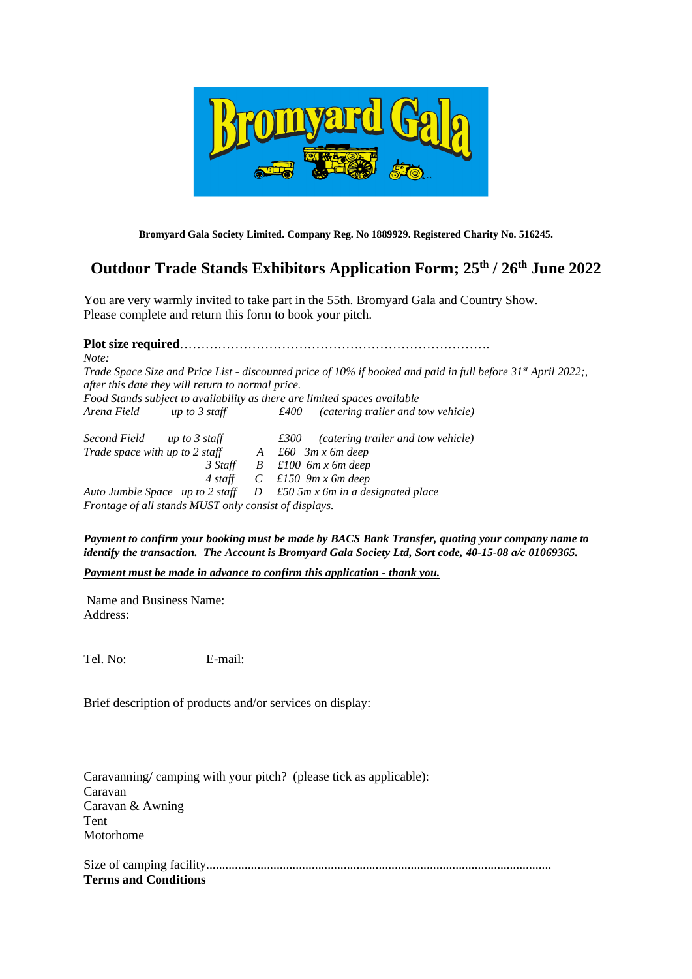

**Bromyard Gala Society Limited. Company Reg. No 1889929. Registered Charity No. 516245.**

# **Outdoor Trade Stands Exhibitors Application Form; 25th / 26 th June 2022**

You are very warmly invited to take part in the 55th. Bromyard Gala and Country Show. Please complete and return this form to book your pitch.

**Plot size required**………………………………………………………………. *Note: Trade Space Size and Price List - discounted price of 10% if booked and paid in full before 31st April 2022;, after this date they will return to normal price. Food Stands subject to availability as there are limited spaces available Arena Field up to 3 staff £400 (catering trailer and tow vehicle) Second Field up to 3 staff £300 (catering trailer and tow vehicle) Trade space with up to 2 staff*  $A$  *£60 3m x 6m deep 3 Staff B £100 6m x 6m deep 4 staff C £150 9m x 6m deep*

*Auto Jumble Space up to 2 staff D £50 5m x 6m in a designated place Frontage of all stands MUST only consist of displays.*

*Payment to confirm your booking must be made by BACS Bank Transfer, quoting your company name to identify the transaction. The Account is Bromyard Gala Society Ltd, Sort code, 40-15-08 a/c 01069365.*

*Payment must be made in advance to confirm this application - thank you.*

Name and Business Name: Address:

Tel. No: E-mail:

Brief description of products and/or services on display:

Caravanning/ camping with your pitch? (please tick as applicable): Caravan Caravan & Awning Tent Motorhome

Size of camping facility............................................................................................................ **Terms and Conditions**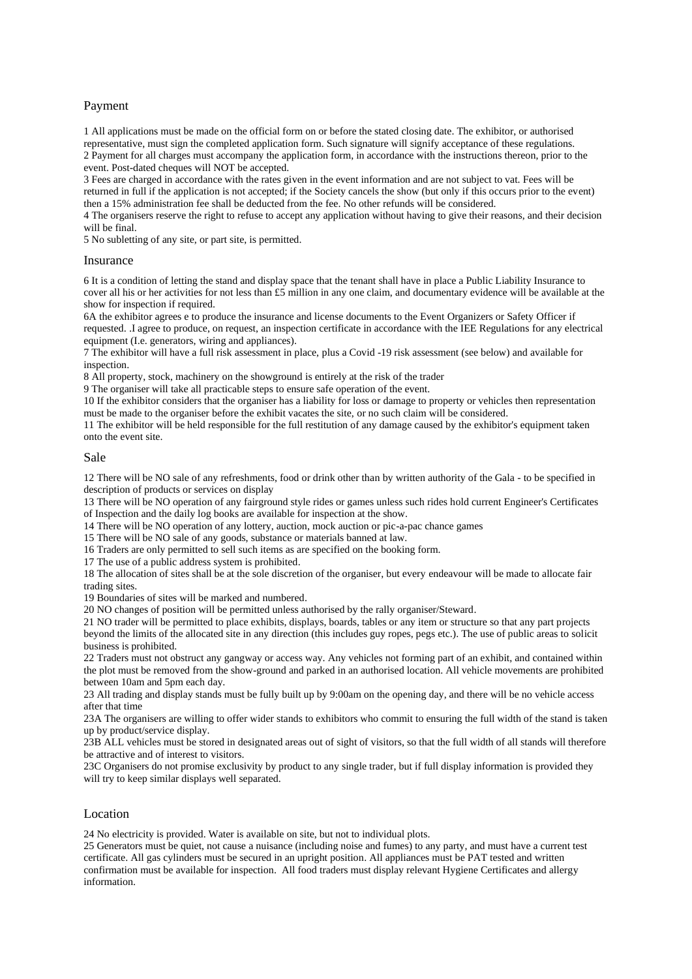# Payment

1 All applications must be made on the official form on or before the stated closing date. The exhibitor, or authorised representative, must sign the completed application form. Such signature will signify acceptance of these regulations. 2 Payment for all charges must accompany the application form, in accordance with the instructions thereon, prior to the event. Post-dated cheques will NOT be accepted.

3 Fees are charged in accordance with the rates given in the event information and are not subject to vat. Fees will be returned in full if the application is not accepted; if the Society cancels the show (but only if this occurs prior to the event) then a 15% administration fee shall be deducted from the fee. No other refunds will be considered.

4 The organisers reserve the right to refuse to accept any application without having to give their reasons, and their decision will be final.

5 No subletting of any site, or part site, is permitted.

#### Insurance

6 It is a condition of letting the stand and display space that the tenant shall have in place a Public Liability Insurance to cover all his or her activities for not less than £5 million in any one claim, and documentary evidence will be available at the show for inspection if required.

6A the exhibitor agrees e to produce the insurance and license documents to the Event Organizers or Safety Officer if requested. .I agree to produce, on request, an inspection certificate in accordance with the IEE Regulations for any electrical equipment (I.e. generators, wiring and appliances).

7 The exhibitor will have a full risk assessment in place, plus a Covid -19 risk assessment (see below) and available for inspection.

8 All property, stock, machinery on the showground is entirely at the risk of the trader

9 The organiser will take all practicable steps to ensure safe operation of the event.

10 If the exhibitor considers that the organiser has a liability for loss or damage to property or vehicles then representation must be made to the organiser before the exhibit vacates the site, or no such claim will be considered.

11 The exhibitor will be held responsible for the full restitution of any damage caused by the exhibitor's equipment taken onto the event site.

#### Sale

12 There will be NO sale of any refreshments, food or drink other than by written authority of the Gala - to be specified in description of products or services on display

13 There will be NO operation of any fairground style rides or games unless such rides hold current Engineer's Certificates of Inspection and the daily log books are available for inspection at the show.

14 There will be NO operation of any lottery, auction, mock auction or pic-a-pac chance games

15 There will be NO sale of any goods, substance or materials banned at law.

16 Traders are only permitted to sell such items as are specified on the booking form.

17 The use of a public address system is prohibited.

18 The allocation of sites shall be at the sole discretion of the organiser, but every endeavour will be made to allocate fair trading sites.

19 Boundaries of sites will be marked and numbered.

20 NO changes of position will be permitted unless authorised by the rally organiser/Steward.

21 NO trader will be permitted to place exhibits, displays, boards, tables or any item or structure so that any part projects beyond the limits of the allocated site in any direction (this includes guy ropes, pegs etc.). The use of public areas to solicit business is prohibited.

22 Traders must not obstruct any gangway or access way. Any vehicles not forming part of an exhibit, and contained within the plot must be removed from the show-ground and parked in an authorised location. All vehicle movements are prohibited between 10am and 5pm each day.

23 All trading and display stands must be fully built up by 9:00am on the opening day, and there will be no vehicle access after that time

23A The organisers are willing to offer wider stands to exhibitors who commit to ensuring the full width of the stand is taken up by product/service display.

23B ALL vehicles must be stored in designated areas out of sight of visitors, so that the full width of all stands will therefore be attractive and of interest to visitors.

23C Organisers do not promise exclusivity by product to any single trader, but if full display information is provided they will try to keep similar displays well separated.

## Location

24 No electricity is provided. Water is available on site, but not to individual plots.

25 Generators must be quiet, not cause a nuisance (including noise and fumes) to any party, and must have a current test certificate. All gas cylinders must be secured in an upright position. All appliances must be PAT tested and written confirmation must be available for inspection. All food traders must display relevant Hygiene Certificates and allergy information.